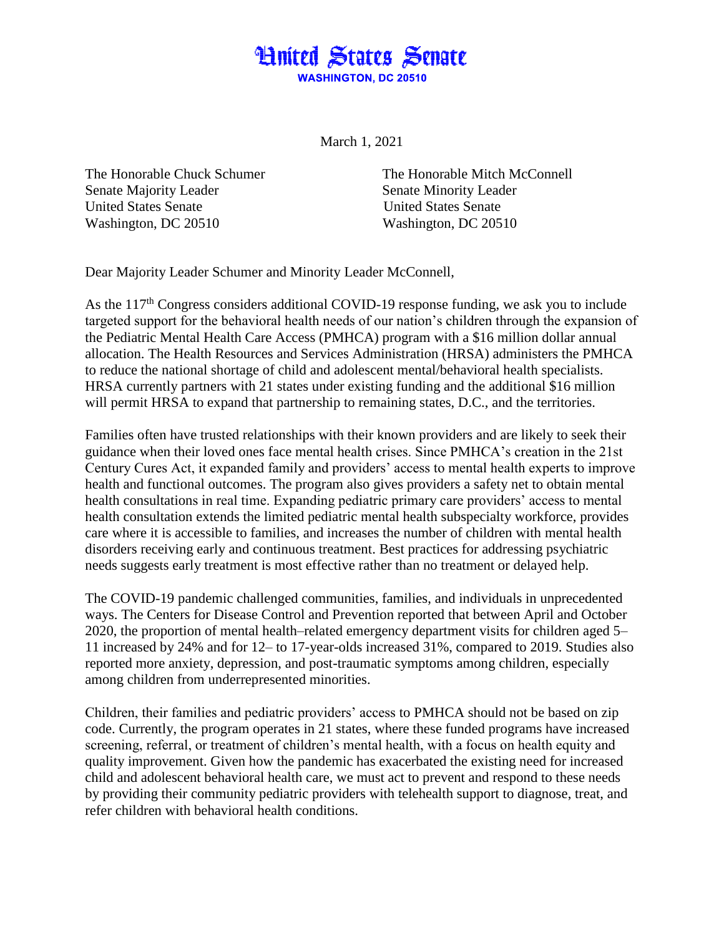

March 1, 2021

Senate Majority Leader Senate Minority Leader United States Senate United States Senate Washington, DC 20510 Washington, DC 20510

The Honorable Chuck Schumer The Honorable Mitch McConnell

Dear Majority Leader Schumer and Minority Leader McConnell,

As the 117<sup>th</sup> Congress considers additional COVID-19 response funding, we ask you to include targeted support for the behavioral health needs of our nation's children through the expansion of the Pediatric Mental Health Care Access (PMHCA) program with a \$16 million dollar annual allocation. The Health Resources and Services Administration (HRSA) administers the PMHCA to reduce the national shortage of child and adolescent mental/behavioral health specialists. HRSA currently partners with 21 states under existing funding and the additional \$16 million will permit HRSA to expand that partnership to remaining states, D.C., and the territories.

Families often have trusted relationships with their known providers and are likely to seek their guidance when their loved ones face mental health crises. Since PMHCA's creation in the 21st Century Cures Act, it expanded family and providers' access to mental health experts to improve health and functional outcomes. The program also gives providers a safety net to obtain mental health consultations in real time. Expanding pediatric primary care providers' access to mental health consultation extends the limited pediatric mental health subspecialty workforce, provides care where it is accessible to families, and increases the number of children with mental health disorders receiving early and continuous treatment. Best practices for addressing psychiatric needs suggests early treatment is most effective rather than no treatment or delayed help.

The COVID-19 pandemic challenged communities, families, and individuals in unprecedented ways. The Centers for Disease Control and Prevention reported that between April and October 2020, the proportion of mental health–related emergency department visits for children aged 5– 11 increased by 24% and for 12– to 17-year-olds increased 31%, compared to 2019. Studies also reported more anxiety, depression, and post-traumatic symptoms among children, especially among children from underrepresented minorities.

Children, their families and pediatric providers' access to PMHCA should not be based on zip code. Currently, the program operates in 21 states, where these funded programs have increased screening, referral, or treatment of children's mental health, with a focus on health equity and quality improvement. Given how the pandemic has exacerbated the existing need for increased child and adolescent behavioral health care, we must act to prevent and respond to these needs by providing their community pediatric providers with telehealth support to diagnose, treat, and refer children with behavioral health conditions.